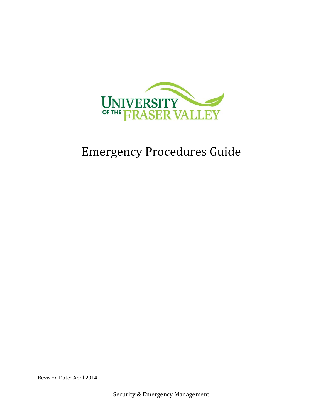

# Emergency Procedures Guide

Revision Date: April 2014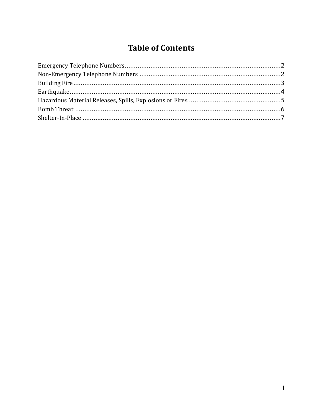## **Table of Contents**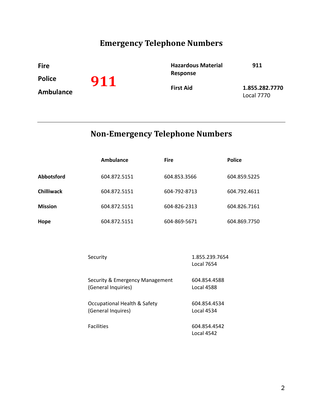## **Emergency Telephone Numbers**

<span id="page-2-0"></span>**Fire 911 Police Ambulance Hazardous Material Response 911 First Aid 1.855.282.7770** Local 7770

## **Non-Emergency Telephone Numbers**

<span id="page-2-1"></span>

|                   | Ambulance    | <b>Fire</b>  | <b>Police</b> |
|-------------------|--------------|--------------|---------------|
| <b>Abbotsford</b> | 604.872.5151 | 604.853.3566 | 604.859.5225  |
| <b>Chilliwack</b> | 604.872.5151 | 604-792-8713 | 604.792.4611  |
| <b>Mission</b>    | 604.872.5151 | 604-826-2313 | 604.826.7161  |
| Hope              | 604.872.5151 | 604-869-5671 | 604.869.7750  |

| Security                        | 1.855.239.7654<br>Local 7654 |
|---------------------------------|------------------------------|
| Security & Emergency Management | 604.854.4588                 |
| (General Inquiries)             | <b>Local 4588</b>            |
| Occupational Health & Safety    | 604.854.4534                 |
| (General Inquires)              | Local 4534                   |
| <b>Facilities</b>               | 604.854.4542<br>Local 4542   |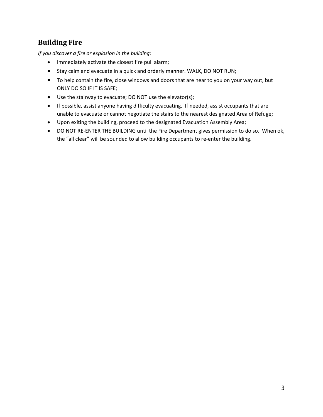## <span id="page-3-0"></span>**Building Fire**

*If you discover a fire or explosion in the building:*

- Immediately activate the closest fire pull alarm;
- Stay calm and evacuate in a quick and orderly manner. WALK, DO NOT RUN;
- To help contain the fire, close windows and doors that are near to you on your way out, but ONLY DO SO IF IT IS SAFE;
- Use the stairway to evacuate; DO NOT use the elevator(s);
- If possible, assist anyone having difficulty evacuating. If needed, assist occupants that are unable to evacuate or cannot negotiate the stairs to the nearest designated Area of Refuge;
- Upon exiting the building, proceed to the designated Evacuation Assembly Area;
- DO NOT RE-ENTER THE BUILDING until the Fire Department gives permission to do so. When ok, the "all clear" will be sounded to allow building occupants to re-enter the building.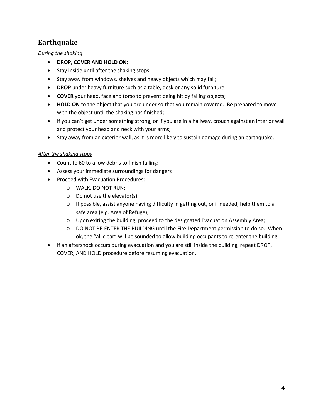## <span id="page-4-0"></span>**Earthquake**

*During the shaking*

- **DROP, COVER AND HOLD ON**;
- Stay inside until after the shaking stops
- Stay away from windows, shelves and heavy objects which may fall;
- **DROP** under heavy furniture such as a table, desk or any solid furniture
- **COVER** your head, face and torso to prevent being hit by falling objects;
- **HOLD ON** to the object that you are under so that you remain covered. Be prepared to move with the object until the shaking has finished;
- If you can't get under something strong, or if you are in a hallway, crouch against an interior wall and protect your head and neck with your arms;
- Stay away from an exterior wall, as it is more likely to sustain damage during an earthquake.

#### *After the shaking stops*

- Count to 60 to allow debris to finish falling;
- Assess your immediate surroundings for dangers
- Proceed with Evacuation Procedures:
	- o WALK, DO NOT RUN;
	- o Do not use the elevator(s);
	- $\circ$  If possible, assist anyone having difficulty in getting out, or if needed, help them to a safe area (e.g. Area of Refuge);
	- o Upon exiting the building, proceed to the designated Evacuation Assembly Area;
	- o DO NOT RE-ENTER THE BUILDING until the Fire Department permission to do so. When ok, the "all clear" will be sounded to allow building occupants to re-enter the building.
- If an aftershock occurs during evacuation and you are still inside the building, repeat DROP, COVER, AND HOLD procedure before resuming evacuation.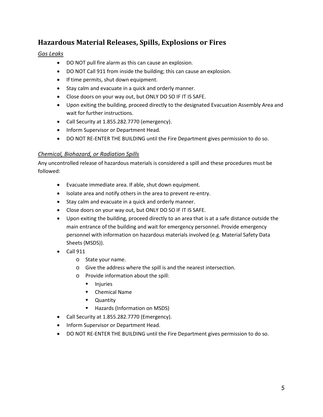## <span id="page-5-0"></span>**Hazardous Material Releases, Spills, Explosions or Fires**

### *Gas Leaks*

- DO NOT pull fire alarm as this can cause an explosion.
- DO NOT Call 911 from inside the building; this can cause an explosion.
- If time permits, shut down equipment.
- Stay calm and evacuate in a quick and orderly manner.
- Close doors on your way out, but ONLY DO SO IF IT IS SAFE.
- Upon exiting the building, proceed directly to the designated Evacuation Assembly Area and wait for further instructions.
- Call Security at 1.855.282.7770 (emergency).
- Inform Supervisor or Department Head.
- DO NOT RE-ENTER THE BUILDING until the Fire Department gives permission to do so.

## *Chemical, Biohazard, or Radiation Spills*

Any uncontrolled release of hazardous materials is considered a spill and these procedures must be followed:

- Evacuate immediate area. If able, shut down equipment.
- Isolate area and notify others in the area to prevent re-entry.
- Stay calm and evacuate in a quick and orderly manner.
- Close doors on your way out, but ONLY DO SO IF IT IS SAFE.
- Upon exiting the building, proceed directly to an area that is at a safe distance outside the main entrance of the building and wait for emergency personnel. Provide emergency personnel with information on hazardous materials involved (e.g. Material Safety Data Sheets (MSDS)).
- $\bullet$  Call 911
	- o State your name.
	- o Give the address where the spill is and the nearest intersection.
	- o Provide information about the spill:
		- **Injuries**
		- **•** Chemical Name
		- **-** Quantity
		- Hazards (Information on MSDS)
- Call Security at 1.855.282.7770 (Emergency).
- Inform Supervisor or Department Head.
- DO NOT RE-ENTER THE BUILDING until the Fire Department gives permission to do so.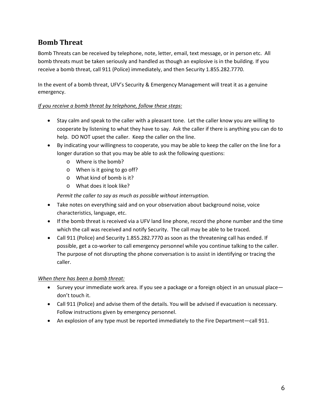## <span id="page-6-0"></span>**Bomb Threat**

Bomb Threats can be received by telephone, note, letter, email, text message, or in person etc. All bomb threats must be taken seriously and handled as though an explosive is in the building. If you receive a bomb threat, call 911 (Police) immediately, and then Security 1.855.282.7770.

In the event of a bomb threat, UFV's Security & Emergency Management will treat it as a genuine emergency.

### *If you receive a bomb threat by telephone, follow these steps:*

- Stay calm and speak to the caller with a pleasant tone. Let the caller know you are willing to cooperate by listening to what they have to say. Ask the caller if there is anything you can do to help. DO NOT upset the caller. Keep the caller on the line.
- By indicating your willingness to cooperate, you may be able to keep the caller on the line for a longer duration so that you may be able to ask the following questions:
	- o Where is the bomb?
	- o When is it going to go off?
	- o What kind of bomb is it?
	- o What does it look like?

*Permit the caller to say as much as possible without interruption.*

- Take notes on everything said and on your observation about background noise, voice characteristics, language, etc.
- If the bomb threat is received via a UFV land line phone, record the phone number and the time which the call was received and notify Security. The call may be able to be traced.
- Call 911 (Police) and Security 1.855.282.7770 as soon as the threatening call has ended. If possible, get a co-worker to call emergency personnel while you continue talking to the caller. The purpose of not disrupting the phone conversation is to assist in identifying or tracing the caller.

## *When there has been a bomb threat:*

- Survey your immediate work area. If you see a package or a foreign object in an unusual place don't touch it.
- Call 911 (Police) and advise them of the details. You will be advised if evacuation is necessary. Follow instructions given by emergency personnel.
- An explosion of any type must be reported immediately to the Fire Department—call 911.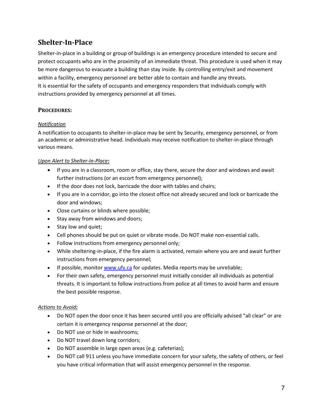## <span id="page-7-0"></span>**Shelter-In-Place**

Shelter-in-place in a building or group of buildings is an emergency procedure intended to secure and protect occupants who are in the proximity of an immediate threat. This procedure is used when it may be more dangerous to evacuate a building than stay inside. By controlling entry/exit and movement within a facility, emergency personnel are better able to contain and handle any threats. It is essential for the safety of occupants and emergency responders that individuals comply with instructions provided by emergency personnel at all times.

## **PROCEDURES:**

### *Notification*

A notification to occupants to shelter-in-place may be sent by Security, emergency personnel, or from an academic or administrative head. Individuals may receive notification to shelter-in-place through various means.

### *Upon Alert to Shelter-In-Place:*

- If you are in a classroom, room or office, stay there, secure the door and windows and await further instructions (or an escort from emergency personnel);
- If the door does not lock, barricade the door with tables and chairs;
- If you are in a corridor, go into the closest office not already secured and lock or barricade the door and windows;
- Close curtains or blinds where possible;
- Stay away from windows and doors;
- Stay low and quiet;
- Cell phones should be put on quiet or vibrate mode. Do NOT make non-essential calls.
- Follow instructions from emergency personnel only;
- While sheltering-in-place, if the fire alarm is activated, remain where you are and await further instructions from emergency personnel;
- If possible, monitor [www.ufv.ca](http://www.ufv.ca/) for updates. Media reports may be unreliable;
- For their own safety, emergency personnel must initially consider all individuals as potential threats. It is important to follow instructions from police at all times to avoid harm and ensure the best possible response.

#### *Actions to Avoid:*

- Do NOT open the door once it has been secured until you are officially advised "all clear" or are certain it is emergency response personnel at the door;
- Do NOT use or hide in washrooms;
- Do NOT travel down long corridors;
- Do NOT assemble in large open areas (e.g. cafeterias);
- Do NOT call 911 unless you have immediate concern for your safety, the safety of others, or feel you have critical information that will assist emergency personnel in the response.